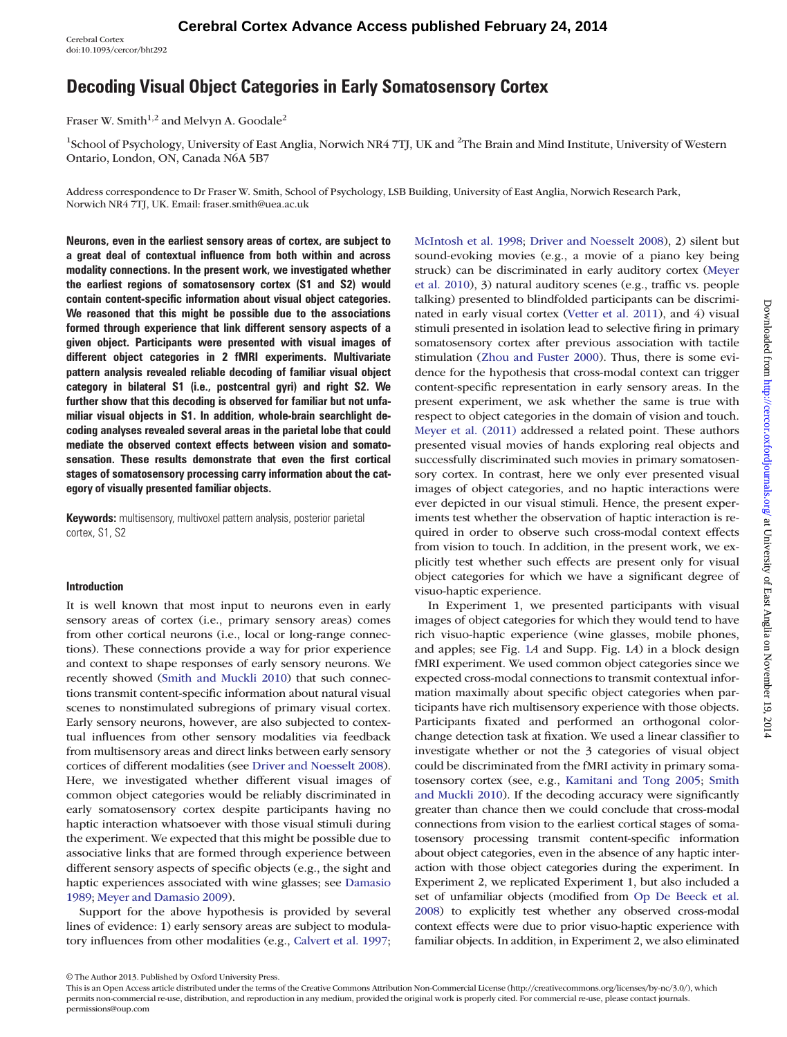Cerebral Cortex doi:10.1093/cercor/bht292

# Decoding Visual Object Categories in Early Somatosensory Cortex

Fraser W. Smith<sup>1,2</sup> and Melvyn A. Goodale<sup>2</sup>

<sup>1</sup>School of Psychology, University of East Anglia, Norwich NR4 7TJ, UK and <sup>2</sup>The Brain and Mind Institute, University of Western Ontario, London, ON, Canada N6A 5B7

Address correspondence to Dr Fraser W. Smith, School of Psychology, LSB Building, University of East Anglia, Norwich Research Park, Norwich NR4 7TJ, UK. Email: fraser.smith@uea.ac.uk

Neurons, even in the earliest sensory areas of cortex, are subject to a great deal of contextual influence from both within and across modality connections. In the present work, we investigated whether the earliest regions of somatosensory cortex (S1 and S2) would contain content-specific information about visual object categories. We reasoned that this might be possible due to the associations formed through experience that link different sensory aspects of a given object. Participants were presented with visual images of different object categories in 2 fMRI experiments. Multivariate pattern analysis revealed reliable decoding of familiar visual object category in bilateral S1 (i.e., postcentral gyri) and right S2. We further show that this decoding is observed for familiar but not unfamiliar visual objects in S1. In addition, whole-brain searchlight decoding analyses revealed several areas in the parietal lobe that could mediate the observed context effects between vision and somatosensation. These results demonstrate that even the first cortical stages of somatosensory processing carry information about the category of visually presented familiar objects.

Keywords: multisensory, multivoxel pattern analysis, posterior parietal cortex, S1, S2

#### **Introduction**

It is well known that most input to neurons even in early sensory areas of cortex (i.e., primary sensory areas) comes from other cortical neurons (i.e., local or long-range connections). These connections provide a way for prior experience and context to shape responses of early sensory neurons. We recently showed [\(Smith and Muckli 2010\)](#page-11-0) that such connections transmit content-specific information about natural visual scenes to nonstimulated subregions of primary visual cortex. Early sensory neurons, however, are also subjected to contextual influences from other sensory modalities via feedback from multisensory areas and direct links between early sensory cortices of different modalities (see [Driver and Noesselt 2008](#page-10-0)). Here, we investigated whether different visual images of common object categories would be reliably discriminated in early somatosensory cortex despite participants having no haptic interaction whatsoever with those visual stimuli during the experiment. We expected that this might be possible due to associative links that are formed through experience between different sensory aspects of specific objects (e.g., the sight and haptic experiences associated with wine glasses; see [Damasio](#page-10-0) [1989](#page-10-0); [Meyer and Damasio 2009\)](#page-11-0).

Support for the above hypothesis is provided by several lines of evidence: 1) early sensory areas are subject to modulatory influences from other modalities (e.g., [Calvert et al. 1997;](#page-10-0)

[McIntosh et al. 1998](#page-11-0); [Driver and Noesselt 2008\)](#page-10-0), 2) silent but sound-evoking movies (e.g., a movie of a piano key being struck) can be discriminated in early auditory cortex [\(Meyer](#page-11-0) [et al. 2010\)](#page-11-0), 3) natural auditory scenes (e.g., traffic vs. people talking) presented to blindfolded participants can be discriminated in early visual cortex [\(Vetter et al. 2011\)](#page-11-0), and 4) visual stimuli presented in isolation lead to selective firing in primary somatosensory cortex after previous association with tactile stimulation [\(Zhou and Fuster 2000](#page-11-0)). Thus, there is some evidence for the hypothesis that cross-modal context can trigger content-specific representation in early sensory areas. In the present experiment, we ask whether the same is true with respect to object categories in the domain of vision and touch. [Meyer et al. \(2011\)](#page-11-0) addressed a related point. These authors presented visual movies of hands exploring real objects and successfully discriminated such movies in primary somatosensory cortex. In contrast, here we only ever presented visual images of object categories, and no haptic interactions were ever depicted in our visual stimuli. Hence, the present experiments test whether the observation of haptic interaction is required in order to observe such cross-modal context effects from vision to touch. In addition, in the present work, we explicitly test whether such effects are present only for visual object categories for which we have a significant degree of visuo-haptic experience.

In Experiment 1, we presented participants with visual images of object categories for which they would tend to have rich visuo-haptic experience (wine glasses, mobile phones, and apples; see Fig. [1](#page-1-0)A and [Supp. Fig. 1](http://cercor.oxfordjournals.org/lookup/suppl/doi:10.1093/cercor/bht292/-/DC1)A) in a block design fMRI experiment. We used common object categories since we expected cross-modal connections to transmit contextual information maximally about specific object categories when participants have rich multisensory experience with those objects. Participants fixated and performed an orthogonal colorchange detection task at fixation. We used a linear classifier to investigate whether or not the 3 categories of visual object could be discriminated from the fMRI activity in primary somatosensory cortex (see, e.g., [Kamitani and Tong 2005;](#page-11-0) [Smith](#page-11-0) [and Muckli 2010](#page-11-0)). If the decoding accuracy were significantly greater than chance then we could conclude that cross-modal connections from vision to the earliest cortical stages of somatosensory processing transmit content-specific information about object categories, even in the absence of any haptic interaction with those object categories during the experiment. In Experiment 2, we replicated Experiment 1, but also included a set of unfamiliar objects (modified from [Op De Beeck et al.](#page-11-0) [2008\)](#page-11-0) to explicitly test whether any observed cross-modal context effects were due to prior visuo-haptic experience with familiar objects. In addition, in Experiment 2, we also eliminated

© The Author 2013. Published by Oxford University Press.

This is an Open Access article distributed under the terms of the Creative Commons Attribution Non-Commercial License (http://creativecommons.org/licenses/by-nc/3.0/), which permits non-commercial re-use, distribution, and reproduction in any medium, provided the original work is properly cited. For commercial re-use, please contact journals. permissions@oup.com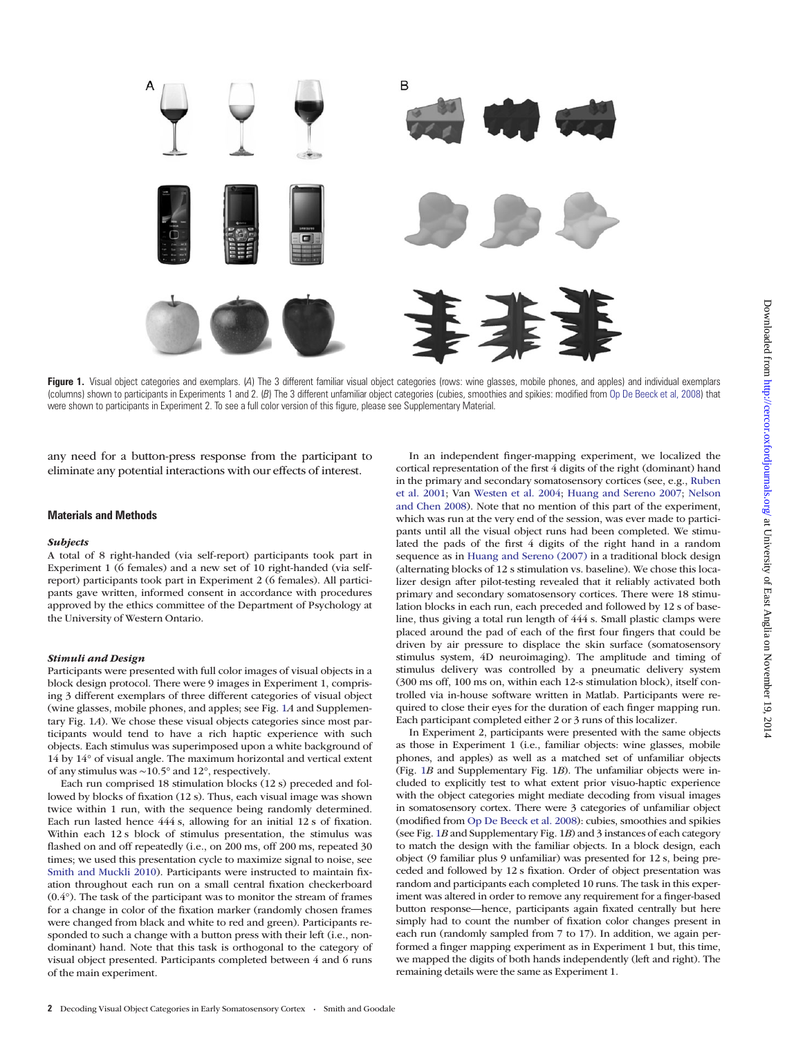<span id="page-1-0"></span>

Figure 1. Visual object categories and exemplars. (A) The 3 different familiar visual object categories (rows: wine glasses, mobile phones, and apples) and individual exemplars (columns) shown to participants in Experiments 1 and 2. (B) The 3 different unfamiliar object categories (cubies, smoothies and spikies: modified from [Op De Beeck et al, 2008\)](#page-11-0) that were shown to participants in Experiment 2. To see a full color version of this figure, please see [Supplementary Material](http://cercor.oxfordjournals.org/lookup/suppl/doi:10.1093/cercor/bht292/-/DC1).

any need for a button-press response from the participant to eliminate any potential interactions with our effects of interest.

#### Materials and Methods

#### Subjects

A total of 8 right-handed (via self-report) participants took part in Experiment 1 (6 females) and a new set of 10 right-handed (via selfreport) participants took part in Experiment 2 (6 females). All participants gave written, informed consent in accordance with procedures approved by the ethics committee of the Department of Psychology at the University of Western Ontario.

#### Stimuli and Design

Participants were presented with full color images of visual objects in a block design protocol. There were 9 images in Experiment 1, comprising 3 different exemplars of three different categories of visual object (wine glasses, mobile phones, and apples; see Fig. 1A and [Supplemen](http://cercor.oxfordjournals.org/lookup/suppl/doi:10.1093/cercor/bht292/-/DC1)[tary Fig. 1](http://cercor.oxfordjournals.org/lookup/suppl/doi:10.1093/cercor/bht292/-/DC1)A). We chose these visual objects categories since most participants would tend to have a rich haptic experience with such objects. Each stimulus was superimposed upon a white background of 14 by 14° of visual angle. The maximum horizontal and vertical extent of any stimulus was ∼10.5° and 12°, respectively.

Each run comprised 18 stimulation blocks (12 s) preceded and followed by blocks of fixation (12 s). Thus, each visual image was shown twice within 1 run, with the sequence being randomly determined. Each run lasted hence 444 s, allowing for an initial 12 s of fixation. Within each 12 s block of stimulus presentation, the stimulus was flashed on and off repeatedly (i.e., on 200 ms, off 200 ms, repeated 30 times; we used this presentation cycle to maximize signal to noise, see [Smith and Muckli 2010\)](#page-11-0). Participants were instructed to maintain fixation throughout each run on a small central fixation checkerboard (0.4°). The task of the participant was to monitor the stream of frames for a change in color of the fixation marker (randomly chosen frames were changed from black and white to red and green). Participants responded to such a change with a button press with their left (i.e., nondominant) hand. Note that this task is orthogonal to the category of visual object presented. Participants completed between 4 and 6 runs of the main experiment.

In an independent finger-mapping experiment, we localized the cortical representation of the first 4 digits of the right (dominant) hand in the primary and secondary somatosensory cortices (see, e.g., [Ruben](#page-11-0) [et al. 2001](#page-11-0); Van [Westen et al. 2004](#page-11-0); [Huang and Sereno 2007](#page-11-0); [Nelson](#page-11-0) [and Chen 2008](#page-11-0)). Note that no mention of this part of the experiment, which was run at the very end of the session, was ever made to participants until all the visual object runs had been completed. We stimulated the pads of the first 4 digits of the right hand in a random sequence as in [Huang and Sereno \(2007\)](#page-11-0) in a traditional block design (alternating blocks of 12 s stimulation vs. baseline). We chose this localizer design after pilot-testing revealed that it reliably activated both primary and secondary somatosensory cortices. There were 18 stimulation blocks in each run, each preceded and followed by 12 s of baseline, thus giving a total run length of 444 s. Small plastic clamps were placed around the pad of each of the first four fingers that could be driven by air pressure to displace the skin surface (somatosensory stimulus system, 4D neuroimaging). The amplitude and timing of stimulus delivery was controlled by a pneumatic delivery system (300 ms off, 100 ms on, within each 12-s stimulation block), itself controlled via in-house software written in Matlab. Participants were required to close their eyes for the duration of each finger mapping run. Each participant completed either 2 or 3 runs of this localizer.

In Experiment 2, participants were presented with the same objects as those in Experiment 1 (i.e., familiar objects: wine glasses, mobile phones, and apples) as well as a matched set of unfamiliar objects (Fig. 1B and [Supplementary Fig. 1](http://cercor.oxfordjournals.org/lookup/suppl/doi:10.1093/cercor/bht292/-/DC1)B). The unfamiliar objects were included to explicitly test to what extent prior visuo-haptic experience with the object categories might mediate decoding from visual images in somatosensory cortex. There were 3 categories of unfamiliar object (modified from [Op De Beeck et al. 2008](#page-11-0)): cubies, smoothies and spikies (see Fig. 1B and [Supplementary Fig. 1](http://cercor.oxfordjournals.org/lookup/suppl/doi:10.1093/cercor/bht292/-/DC1)B) and 3 instances of each category to match the design with the familiar objects. In a block design, each object (9 familiar plus 9 unfamiliar) was presented for 12 s, being preceded and followed by 12 s fixation. Order of object presentation was random and participants each completed 10 runs. The task in this experiment was altered in order to remove any requirement for a finger-based button response—hence, participants again fixated centrally but here simply had to count the number of fixation color changes present in each run (randomly sampled from 7 to 17). In addition, we again performed a finger mapping experiment as in Experiment 1 but, this time, we mapped the digits of both hands independently (left and right). The remaining details were the same as Experiment 1.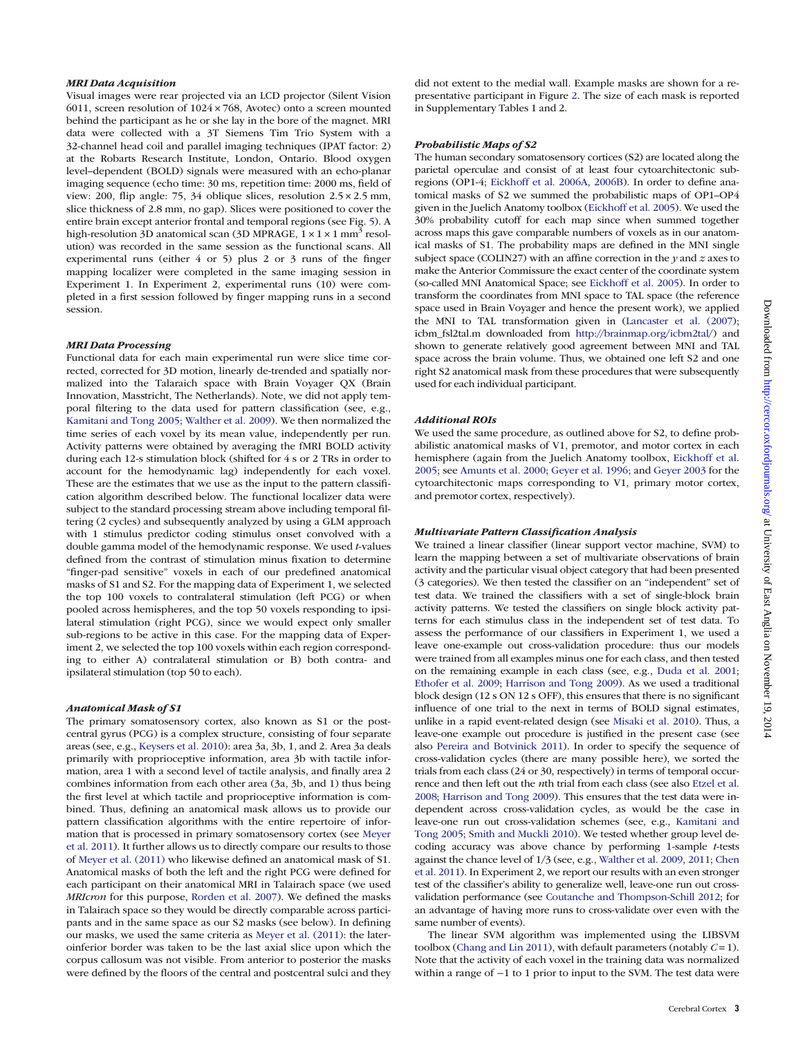#### MRI Data Acquisition

Visual images were rear projected via an LCD projector (Silent Vision 6011, screen resolution of  $1024 \times 768$ , Avotec) onto a screen mounted behind the participant as he or she lay in the bore of the magnet. MRI data were collected with a 3T Siemens Tim Trio System with a 32-channel head coil and parallel imaging techniques (IPAT factor: 2) at the Robarts Research Institute, London, Ontario. Blood oxygen level–dependent (BOLD) signals were measured with an echo-planar imaging sequence (echo time: 30 ms, repetition time: 2000 ms, field of view: 200, flip angle: 75, 34 oblique slices, resolution 2.5 × 2.5 mm, slice thickness of 2.8 mm, no gap). Slices were positioned to cover the entire brain except anterior frontal and temporal regions (see Fig. [5\)](#page-6-0). A high-resolution 3D anatomical scan (3D MPRAGE,  $1 \times 1 \times 1$  mm<sup>3</sup> resolution) was recorded in the same session as the functional scans. All experimental runs (either 4 or 5) plus 2 or 3 runs of the finger mapping localizer were completed in the same imaging session in Experiment 1. In Experiment 2, experimental runs (10) were completed in a first session followed by finger mapping runs in a second session.

#### MRI Data Processing

Functional data for each main experimental run were slice time corrected, corrected for 3D motion, linearly de-trended and spatially normalized into the Talaraich space with Brain Voyager QX (Brain Innovation, Masstricht, The Netherlands). Note, we did not apply temporal filtering to the data used for pattern classification (see, e.g., [Kamitani and Tong 2005;](#page-11-0) [Walther et al. 2009\)](#page-11-0). We then normalized the time series of each voxel by its mean value, independently per run. Activity patterns were obtained by averaging the fMRI BOLD activity during each 12-s stimulation block (shifted for 4 s or 2 TRs in order to account for the hemodynamic lag) independently for each voxel. These are the estimates that we use as the input to the pattern classification algorithm described below. The functional localizer data were subject to the standard processing stream above including temporal filtering (2 cycles) and subsequently analyzed by using a GLM approach with 1 stimulus predictor coding stimulus onset convolved with a double gamma model of the hemodynamic response. We used t-values defined from the contrast of stimulation minus fixation to determine "finger-pad sensitive" voxels in each of our predefined anatomical masks of S1 and S2. For the mapping data of Experiment 1, we selected the top 100 voxels to contralateral stimulation (left PCG) or when pooled across hemispheres, and the top 50 voxels responding to ipsilateral stimulation (right PCG), since we would expect only smaller sub-regions to be active in this case. For the mapping data of Experiment 2, we selected the top 100 voxels within each region corresponding to either A) contralateral stimulation or B) both contra- and ipsilateral stimulation (top 50 to each).

#### Anatomical Mask of S1

The primary somatosensory cortex, also known as S1 or the postcentral gyrus (PCG) is a complex structure, consisting of four separate areas (see, e.g., [Keysers et al. 2010\)](#page-11-0): area 3a, 3b, 1, and 2. Area 3a deals primarily with proprioceptive information, area 3b with tactile information, area 1 with a second level of tactile analysis, and finally area 2 combines information from each other area (3a, 3b, and 1) thus being the first level at which tactile and proprioceptive information is combined. Thus, defining an anatomical mask allows us to provide our pattern classification algorithms with the entire repertoire of information that is processed in primary somatosensory cortex (see [Meyer](#page-11-0) [et al. 2011\)](#page-11-0). It further allows us to directly compare our results to those of [Meyer et al. \(2011\)](#page-11-0) who likewise defined an anatomical mask of S1. Anatomical masks of both the left and the right PCG were defined for each participant on their anatomical MRI in Talairach space (we used MRIcron for this purpose, [Rorden et al. 2007](#page-11-0)). We defined the masks in Talairach space so they would be directly comparable across participants and in the same space as our S2 masks (see below). In defining our masks, we used the same criteria as [Meyer et al. \(2011\)](#page-11-0): the lateroinferior border was taken to be the last axial slice upon which the corpus callosum was not visible. From anterior to posterior the masks were defined by the floors of the central and postcentral sulci and they

did not extent to the medial wall. Example masks are shown for a representative participant in Figure [2.](#page-3-0) The size of each mask is reported in [Supplementary Tables 1 and 2.](http://cercor.oxfordjournals.org/lookup/suppl/doi:10.1093/cercor/bht292/-/DC1)

#### Probabilistic Maps of S2

The human secondary somatosensory cortices (S2) are located along the parietal operculae and consist of at least four cytoarchitectonic subregions (OP1-4; [Eickhoff et al. 2006A,](#page-10-0) [2006B](#page-10-0)). In order to define anatomical masks of S2 we summed the probabilistic maps of OP1–OP4 given in the Juelich Anatomy toolbox [\(Eickhoff et al. 2005](#page-10-0)). We used the 30% probability cutoff for each map since when summed together across maps this gave comparable numbers of voxels as in our anatomical masks of S1. The probability maps are defined in the MNI single subject space (COLIN27) with an affine correction in the  $y$  and  $z$  axes to make the Anterior Commissure the exact center of the coordinate system (so-called MNI Anatomical Space; see [Eickhoff et al. 2005\)](#page-10-0). In order to transform the coordinates from MNI space to TAL space (the reference space used in Brain Voyager and hence the present work), we applied the MNI to TAL transformation given in [\(Lancaster et al. \(2007\)](#page-11-0); icbm\_fsl2tal.m downloaded from <http://brainmap.org/icbm2tal/>) and shown to generate relatively good agreement between MNI and TAL space across the brain volume. Thus, we obtained one left S2 and one right S2 anatomical mask from these procedures that were subsequently used for each individual participant.

#### Additional ROIs

We used the same procedure, as outlined above for S2, to define probabilistic anatomical masks of V1, premotor, and motor cortex in each hemisphere (again from the Juelich Anatomy toolbox, [Eickhoff et al.](#page-10-0) [2005;](#page-10-0) see [Amunts et al. 2000;](#page-10-0) [Geyer et al. 1996](#page-10-0); and [Geyer 2003](#page-10-0) for the cytoarchitectonic maps corresponding to V1, primary motor cortex, and premotor cortex, respectively).

# Multivariate Pattern Classification Analysis

We trained a linear classifier (linear support vector machine, SVM) to learn the mapping between a set of multivariate observations of brain activity and the particular visual object category that had been presented (3 categories). We then tested the classifier on an "independent" set of test data. We trained the classifiers with a set of single-block brain activity patterns. We tested the classifiers on single block activity patterns for each stimulus class in the independent set of test data. To assess the performance of our classifiers in Experiment 1, we used a leave one-example out cross-validation procedure: thus our models were trained from all examples minus one for each class, and then tested on the remaining example in each class (see, e.g., Duda [et al. 2001;](#page-10-0) [Ethofer et al. 2009;](#page-10-0) [Harrison and Tong 2009\)](#page-11-0). As we used a traditional block design (12 s ON 12 s OFF), this ensures that there is no significant influence of one trial to the next in terms of BOLD signal estimates, unlike in a rapid event-related design (see [Misaki et al. 2010\)](#page-11-0). Thus, a leave-one example out procedure is justified in the present case (see also [Pereira and Botvinick 2011\)](#page-11-0). In order to specify the sequence of cross-validation cycles (there are many possible here), we sorted the trials from each class (24 or 30, respectively) in terms of temporal occurrence and then left out the nth trial from each class (see also [Etzel et al.](#page-10-0) [2008;](#page-10-0) [Harrison and Tong 2009](#page-11-0)). This ensures that the test data were independent across cross-validation cycles, as would be the case in leave-one run out cross-validation schemes (see, e.g., [Kamitani and](#page-11-0) [Tong 2005;](#page-11-0) [Smith and Muckli 2010](#page-11-0)). We tested whether group level decoding accuracy was above chance by performing 1-sample t-tests against the chance level of 1/3 (see, e.g., [Walther et al. 2009](#page-11-0), [2011;](#page-11-0) [Chen](#page-10-0) [et al. 2011](#page-10-0)). In Experiment 2, we report our results with an even stronger test of the classifier's ability to generalize well, leave-one run out crossvalidation performance (see [Coutanche and Thompson-Schill 2012](#page-10-0); for an advantage of having more runs to cross-validate over even with the same number of events).

The linear SVM algorithm was implemented using the LIBSVM toolbox ([Chang and Lin 2011\)](#page-10-0), with default parameters (notably  $C = 1$ ). Note that the activity of each voxel in the training data was normalized within a range of −1 to 1 prior to input to the SVM. The test data were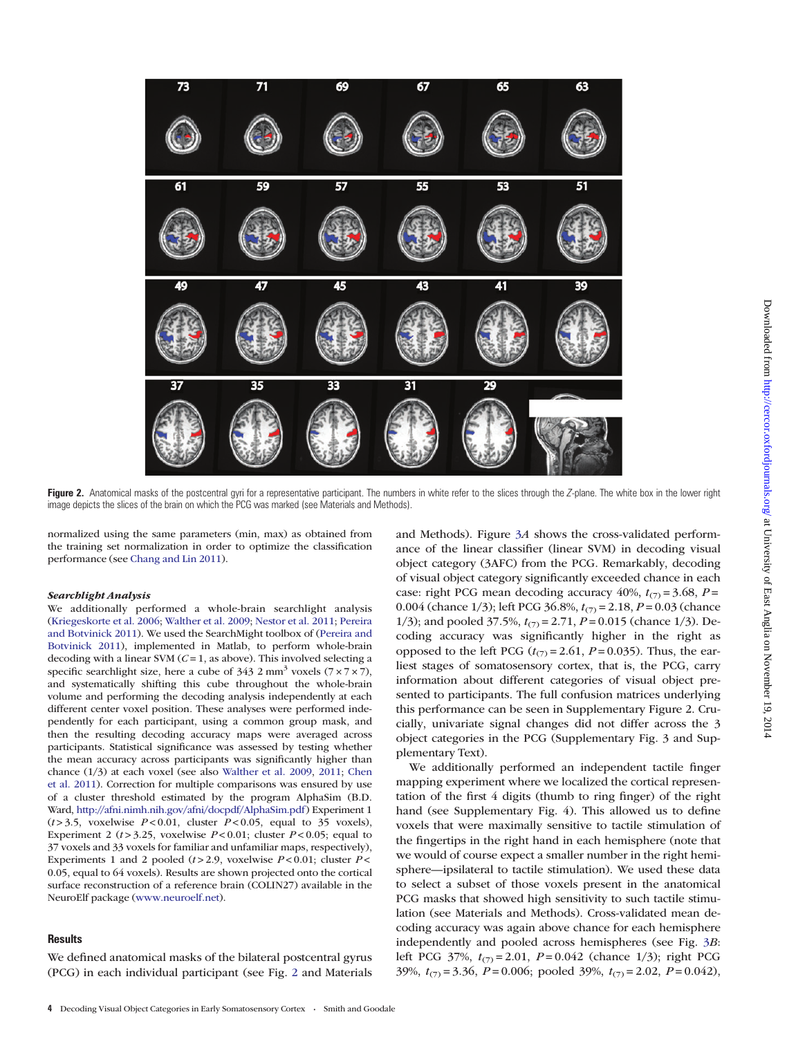<span id="page-3-0"></span>

Figure 2. Anatomical masks of the postcentral gyri for a representative participant. The numbers in white refer to the slices through the Z-plane. The white box in the lower right image depicts the slices of the brain on which the PCG was marked (see Materials and Methods).

normalized using the same parameters (min, max) as obtained from the training set normalization in order to optimize the classification performance (see [Chang and Lin 2011](#page-10-0)).

#### Searchlight Analysis

We additionally performed a whole-brain searchlight analysis ([Kriegeskorte et al. 2006;](#page-11-0) [Walther et al. 2009;](#page-11-0) [Nestor et al. 2011](#page-11-0); [Pereira](#page-11-0) [and Botvinick 2011\)](#page-11-0). We used the SearchMight toolbox of [\(Pereira and](#page-11-0) [Botvinick 2011](#page-11-0)), implemented in Matlab, to perform whole-brain decoding with a linear SVM ( $C = 1$ , as above). This involved selecting a specific searchlight size, here a cube of  $343.2 \text{ mm}^3$  voxels  $(7 \times 7 \times 7)$ , and systematically shifting this cube throughout the whole-brain volume and performing the decoding analysis independently at each different center voxel position. These analyses were performed independently for each participant, using a common group mask, and then the resulting decoding accuracy maps were averaged across participants. Statistical significance was assessed by testing whether the mean accuracy across participants was significantly higher than chance (1/3) at each voxel (see also [Walther et al. 2009](#page-11-0), [2011](#page-11-0); [Chen](#page-10-0) [et al. 2011\)](#page-10-0). Correction for multiple comparisons was ensured by use of a cluster threshold estimated by the program AlphaSim (B.D. Ward, <http://afni.nimh.nih.gov/afni/docpdf/AlphaSim.pdf>) Experiment 1  $(t > 3.5,$  voxelwise  $P < 0.01$ , cluster  $P < 0.05$ , equal to 35 voxels), Experiment 2 ( $t > 3.25$ , voxelwise  $P < 0.01$ ; cluster  $P < 0.05$ ; equal to 37 voxels and 33 voxels for familiar and unfamiliar maps, respectively), Experiments 1 and 2 pooled ( $t > 2.9$ , voxelwise  $P < 0.01$ ; cluster  $P <$ 0.05, equal to 64 voxels). Results are shown projected onto the cortical surface reconstruction of a reference brain (COLIN27) available in the NeuroElf package [\(www.neuroelf.net\)](www.neuroelf.net).

## **Results**

We defined anatomical masks of the bilateral postcentral gyrus (PCG) in each individual participant (see Fig. 2 and Materials and Methods). Figure [3](#page-4-0)A shows the cross-validated performance of the linear classifier (linear SVM) in decoding visual object category (3AFC) from the PCG. Remarkably, decoding of visual object category significantly exceeded chance in each case: right PCG mean decoding accuracy 40%,  $t_{(7)} = 3.68$ ,  $P =$ 0.004 (chance 1/3); left PCG 36.8%,  $t_{(7)} = 2.18$ ,  $P = 0.03$  (chance 1/3); and pooled 37.5%,  $t_{(7)} = 2.71$ ,  $P = 0.015$  (chance 1/3). Decoding accuracy was significantly higher in the right as opposed to the left PCG ( $t_{(7)}$  = 2.61, P = 0.035). Thus, the earliest stages of somatosensory cortex, that is, the PCG, carry information about different categories of visual object presented to participants. The full confusion matrices underlying this performance can be seen in [Supplementary Figure 2](http://cercor.oxfordjournals.org/lookup/suppl/doi:10.1093/cercor/bht292/-/DC1). Crucially, univariate signal changes did not differ across the 3 object categories in the PCG [\(Supplementary Fig. 3 and Sup](http://cercor.oxfordjournals.org/lookup/suppl/doi:10.1093/cercor/bht292/-/DC1)[plementary Text](http://cercor.oxfordjournals.org/lookup/suppl/doi:10.1093/cercor/bht292/-/DC1)).

We additionally performed an independent tactile finger mapping experiment where we localized the cortical representation of the first 4 digits (thumb to ring finger) of the right hand (see [Supplementary Fig. 4\)](http://cercor.oxfordjournals.org/lookup/suppl/doi:10.1093/cercor/bht292/-/DC1). This allowed us to define voxels that were maximally sensitive to tactile stimulation of the fingertips in the right hand in each hemisphere (note that we would of course expect a smaller number in the right hemisphere—ipsilateral to tactile stimulation). We used these data to select a subset of those voxels present in the anatomical PCG masks that showed high sensitivity to such tactile stimulation (see Materials and Methods). Cross-validated mean decoding accuracy was again above chance for each hemisphere independently and pooled across hemispheres (see Fig. [3](#page-4-0)B: left PCG 37%,  $t_{(7)} = 2.01$ ,  $P = 0.042$  (chance 1/3); right PCG 39%,  $t_{(7)} = 3.36$ ,  $P = 0.006$ ; pooled 39%,  $t_{(7)} = 2.02$ ,  $P = 0.042$ ),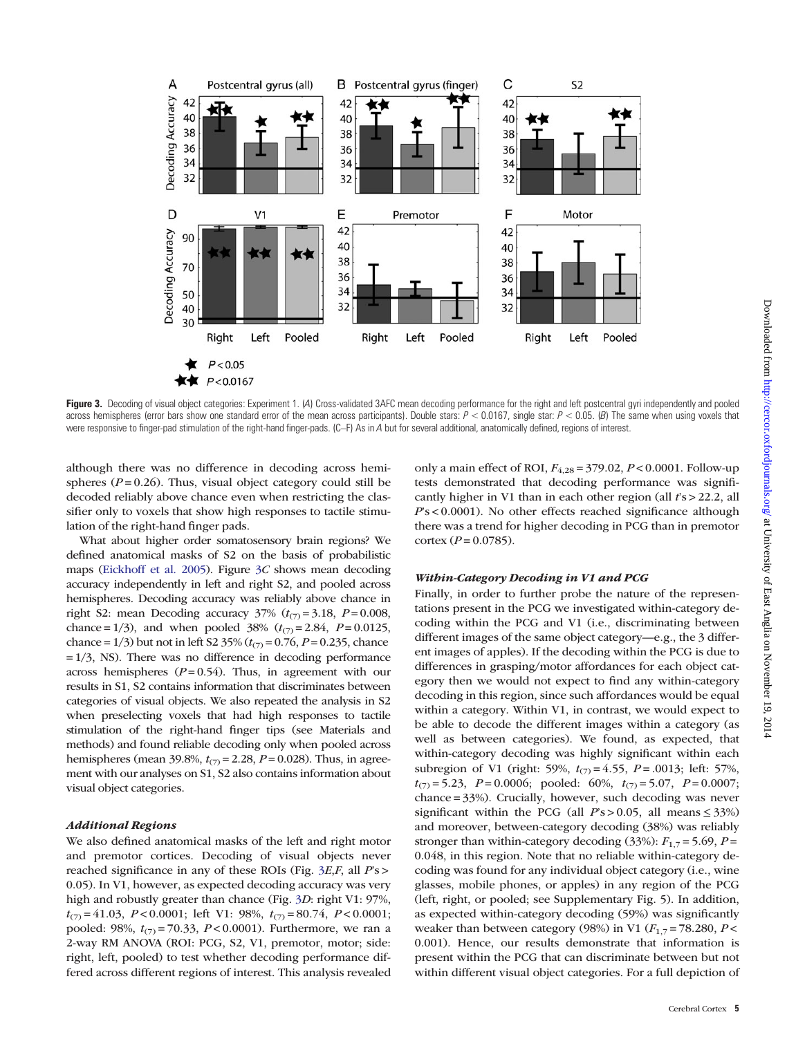<span id="page-4-0"></span>

Figure 3. Decoding of visual object categories: Experiment 1. (4) Cross-validated 3AFC mean decoding performance for the right and left postcentral gyri independently and pooled across hemispheres (error bars show one standard error of the mean across participants). Double stars:  $P < 0.0167$ , single star:  $P < 0.05$ . (B) The same when using voxels that were responsive to finger-pad stimulation of the right-hand finger-pads. (C–F) As in A but for several additional, anatomically defined, regions of interest.

although there was no difference in decoding across hemispheres ( $P = 0.26$ ). Thus, visual object category could still be decoded reliably above chance even when restricting the classifier only to voxels that show high responses to tactile stimulation of the right-hand finger pads.

What about higher order somatosensory brain regions? We defined anatomical masks of S2 on the basis of probabilistic maps [\(Eickhoff et al. 2005](#page-10-0)). Figure 3C shows mean decoding accuracy independently in left and right S2, and pooled across hemispheres. Decoding accuracy was reliably above chance in right S2: mean Decoding accuracy  $37\%$   $(t_{(7)} = 3.18, P = 0.008,$ chance = 1/3), and when pooled 38% ( $t_{(7)}$  = 2.84, P = 0.0125, chance = 1/3) but not in left S2 35% ( $t_{(7)}$  = 0.76, P = 0.235, chance  $= 1/3$ , NS). There was no difference in decoding performance across hemispheres ( $P = 0.54$ ). Thus, in agreement with our results in S1, S2 contains information that discriminates between categories of visual objects. We also repeated the analysis in S2 when preselecting voxels that had high responses to tactile stimulation of the right-hand finger tips (see Materials and methods) and found reliable decoding only when pooled across hemispheres (mean 39.8%,  $t_{(7)} = 2.28$ ,  $P = 0.028$ ). Thus, in agreement with our analyses on S1, S2 also contains information about visual object categories.

## Additional Regions

We also defined anatomical masks of the left and right motor and premotor cortices. Decoding of visual objects never reached significance in any of these ROIs (Fig. 3E,F, all P's > 0.05). In V1, however, as expected decoding accuracy was very high and robustly greater than chance (Fig. 3D: right V1: 97%,  $t_{(7)} = 41.03$ ,  $P < 0.0001$ ; left V1: 98%,  $t_{(7)} = 80.74$ ,  $P < 0.0001$ ; pooled: 98%,  $t_{(7)} = 70.33$ ,  $P < 0.0001$ ). Furthermore, we ran a 2-way RM ANOVA (ROI: PCG, S2, V1, premotor, motor; side: right, left, pooled) to test whether decoding performance differed across different regions of interest. This analysis revealed only a main effect of ROI,  $F_{4,28} = 379.02$ ,  $P < 0.0001$ . Follow-up tests demonstrated that decoding performance was significantly higher in V1 than in each other region (all  $rs > 22.2$ , all  $Ps < 0.0001$ ). No other effects reached significance although there was a trend for higher decoding in PCG than in premotor  $cortex (P = 0.0785).$ 

# Within-Category Decoding in V1 and PCG

Finally, in order to further probe the nature of the representations present in the PCG we investigated within-category decoding within the PCG and V1 (i.e., discriminating between different images of the same object category—e.g., the 3 different images of apples). If the decoding within the PCG is due to differences in grasping/motor affordances for each object category then we would not expect to find any within-category decoding in this region, since such affordances would be equal within a category. Within V1, in contrast, we would expect to be able to decode the different images within a category (as well as between categories). We found, as expected, that within-category decoding was highly significant within each subregion of V1 (right: 59%,  $t_{(7)} = 4.55$ ,  $P = .0013$ ; left: 57%,  $t_{(7)} = 5.23$ ,  $P = 0.0006$ ; pooled: 60%,  $t_{(7)} = 5.07$ ,  $P = 0.0007$ ; chance = 33%). Crucially, however, such decoding was never significant within the PCG (all  $Ps > 0.05$ , all means  $\leq 33\%$ ) and moreover, between-category decoding (38%) was reliably stronger than within-category decoding (33%):  $F_{1,7} = 5.69$ ,  $P =$ 0.048, in this region. Note that no reliable within-category decoding was found for any individual object category (i.e., wine glasses, mobile phones, or apples) in any region of the PCG (left, right, or pooled; see [Supplementary Fig. 5](http://cercor.oxfordjournals.org/lookup/suppl/doi:10.1093/cercor/bht292/-/DC1)). In addition, as expected within-category decoding (59%) was significantly weaker than between category (98%) in V1 ( $F_{1,7}$  = 78.280, P < 0.001). Hence, our results demonstrate that information is present within the PCG that can discriminate between but not within different visual object categories. For a full depiction of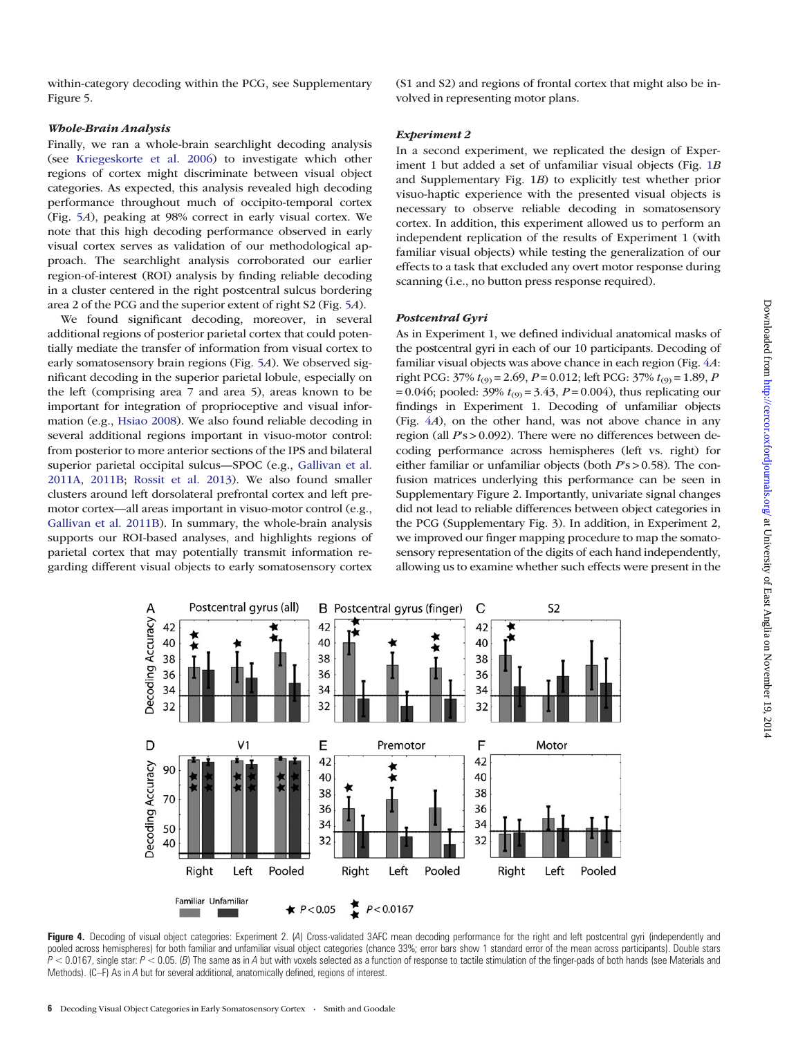<span id="page-5-0"></span>within-category decoding within the PCG, see [Supplementary](http://cercor.oxfordjournals.org/lookup/suppl/doi:10.1093/cercor/bht292/-/DC1) [Figure 5.](http://cercor.oxfordjournals.org/lookup/suppl/doi:10.1093/cercor/bht292/-/DC1)

# Whole-Brain Analysis

Finally, we ran a whole-brain searchlight decoding analysis (see [Kriegeskorte et al. 2006](#page-11-0)) to investigate which other regions of cortex might discriminate between visual object categories. As expected, this analysis revealed high decoding performance throughout much of occipito-temporal cortex (Fig. [5](#page-6-0)A), peaking at 98% correct in early visual cortex. We note that this high decoding performance observed in early visual cortex serves as validation of our methodological approach. The searchlight analysis corroborated our earlier region-of-interest (ROI) analysis by finding reliable decoding in a cluster centered in the right postcentral sulcus bordering area 2 of the PCG and the superior extent of right S2 (Fig. [5](#page-6-0)A).

We found significant decoding, moreover, in several additional regions of posterior parietal cortex that could potentially mediate the transfer of information from visual cortex to early somatosensory brain regions (Fig. [5](#page-6-0)A). We observed significant decoding in the superior parietal lobule, especially on the left (comprising area 7 and area 5), areas known to be important for integration of proprioceptive and visual information (e.g., [Hsiao 2008](#page-11-0)). We also found reliable decoding in several additional regions important in visuo-motor control: from posterior to more anterior sections of the IPS and bilateral superior parietal occipital sulcus—SPOC (e.g., [Gallivan et al.](#page-10-0) [2011A,](#page-10-0) [2011B](#page-10-0); [Rossit et al. 2013\)](#page-11-0). We also found smaller clusters around left dorsolateral prefrontal cortex and left premotor cortex—all areas important in visuo-motor control (e.g., [Gallivan et al. 2011B](#page-10-0)). In summary, the whole-brain analysis supports our ROI-based analyses, and highlights regions of parietal cortex that may potentially transmit information regarding different visual objects to early somatosensory cortex

(S1 and S2) and regions of frontal cortex that might also be involved in representing motor plans.

## Experiment 2

In a second experiment, we replicated the design of Experiment 1 but added a set of unfamiliar visual objects (Fig. [1](#page-1-0)B and [Supplementary Fig. 1](http://cercor.oxfordjournals.org/lookup/suppl/doi:10.1093/cercor/bht292/-/DC1)B) to explicitly test whether prior visuo-haptic experience with the presented visual objects is necessary to observe reliable decoding in somatosensory cortex. In addition, this experiment allowed us to perform an independent replication of the results of Experiment 1 (with familiar visual objects) while testing the generalization of our effects to a task that excluded any overt motor response during scanning (i.e., no button press response required).

# Postcentral Gyri

As in Experiment 1, we defined individual anatomical masks of the postcentral gyri in each of our 10 participants. Decoding of familiar visual objects was above chance in each region (Fig. 4A: right PCG:  $37\% t_{(9)} = 2.69$ ,  $P = 0.012$ ; left PCG:  $37\% t_{(9)} = 1.89$ , P = 0.046; pooled: 39%  $t_{(9)} = 3.43$ ,  $P = 0.004$ ), thus replicating our findings in Experiment 1. Decoding of unfamiliar objects (Fig. 4A), on the other hand, was not above chance in any region (all  $Ps > 0.092$ ). There were no differences between decoding performance across hemispheres (left vs. right) for either familiar or unfamiliar objects (both  $Ps > 0.58$ ). The confusion matrices underlying this performance can be seen in [Supplementary Figure 2.](http://cercor.oxfordjournals.org/lookup/suppl/doi:10.1093/cercor/bht292/-/DC1) Importantly, univariate signal changes did not lead to reliable differences between object categories in the PCG ([Supplementary Fig. 3](http://cercor.oxfordjournals.org/lookup/suppl/doi:10.1093/cercor/bht292/-/DC1)). In addition, in Experiment 2, we improved our finger mapping procedure to map the somatosensory representation of the digits of each hand independently, allowing us to examine whether such effects were present in the



Figure 4. Decoding of visual object categories: Experiment 2. (A) Cross-validated 3AFC mean decoding performance for the right and left postcentral gyri (independently and pooled across hemispheres) for both familiar and unfamiliar visual object categories (chance 33%; error bars show 1 standard error of the mean across participants). Double stars  $P < 0.0167$ , single star:  $P < 0.05$ . (B) The same as in A but with voxels selected as a function of response to tactile stimulation of the finger-pads of both hands (see Materials and Methods). (C–F) As in A but for several additional, anatomically defined, regions of interest.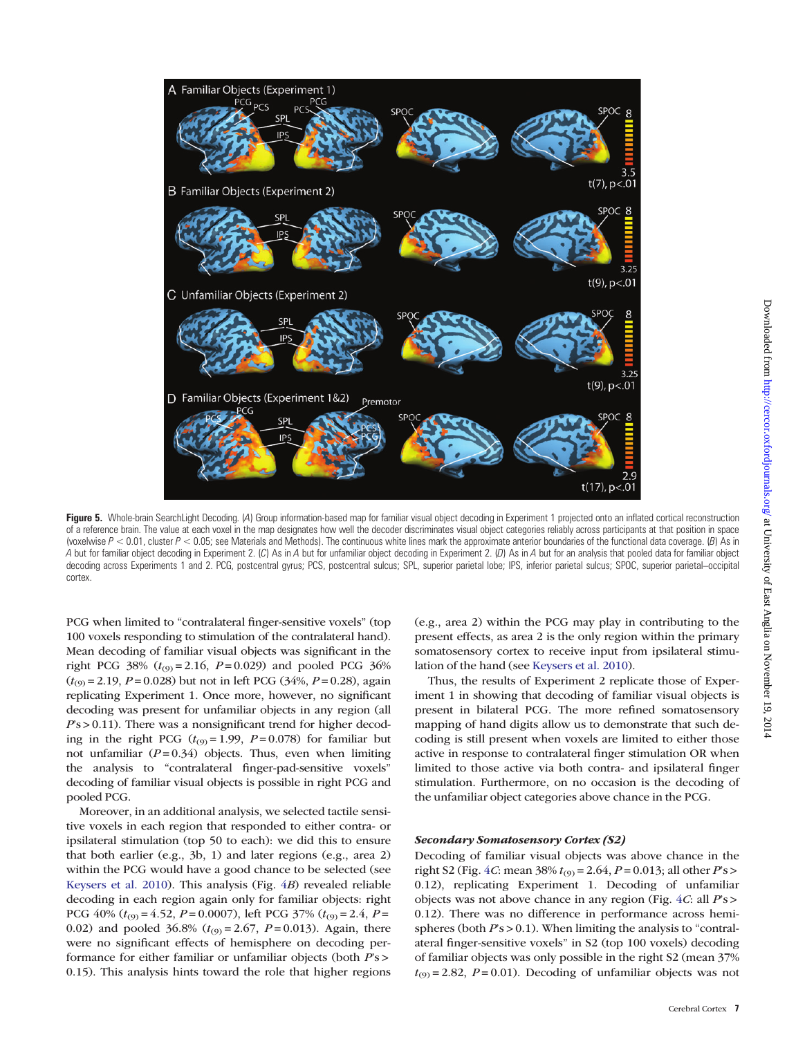<span id="page-6-0"></span>

Figure 5. Whole-brain SearchLight Decoding. (A) Group information-based map for familiar visual object decoding in Experiment 1 projected onto an inflated cortical reconstruction of a reference brain. The value at each voxel in the map designates how well the decoder discriminates visual object categories reliably across participants at that position in space (voxelwise  $P < 0.01$ , cluster  $P < 0.05$ ; see Materials and Methods). The continuous white lines mark the approximate anterior boundaries of the functional data coverage. (B) As in A but for familiar object decoding in Experiment 2. (C) As in A but for unfamiliar object decoding in Experiment 2. (D) As in A but for an analysis that pooled data for familiar object decoding across Experiments 1 and 2. PCG, postcentral gyrus; PCS, postcentral sulcus; SPL, superior parietal lobe; IPS, inferior parietal sulcus; SPOC, superior parietal–occipital cortex.

PCG when limited to "contralateral finger-sensitive voxels" (top 100 voxels responding to stimulation of the contralateral hand). Mean decoding of familiar visual objects was significant in the right PCG 38% ( $t_{(9)} = 2.16$ ,  $P = 0.029$ ) and pooled PCG 36%  $(t_{(9)} = 2.19, P = 0.028)$  but not in left PCG (34%,  $P = 0.28$ ), again replicating Experiment 1. Once more, however, no significant decoding was present for unfamiliar objects in any region (all  $Ps > 0.11$ ). There was a nonsignificant trend for higher decoding in the right PCG  $(t_{(9)} = 1.99, P = 0.078)$  for familiar but not unfamiliar  $(P=0.34)$  objects. Thus, even when limiting the analysis to "contralateral finger-pad-sensitive voxels" decoding of familiar visual objects is possible in right PCG and pooled PCG.

Moreover, in an additional analysis, we selected tactile sensitive voxels in each region that responded to either contra- or ipsilateral stimulation (top 50 to each): we did this to ensure that both earlier (e.g., 3b, 1) and later regions (e.g., area 2) within the PCG would have a good chance to be selected (see [Keysers et al. 2010](#page-11-0)). This analysis (Fig. [4](#page-5-0)B) revealed reliable decoding in each region again only for familiar objects: right PCG 40% ( $t_{(9)} = 4.52$ ,  $P = 0.0007$ ), left PCG 37% ( $t_{(9)} = 2.4$ ,  $P =$ 0.02) and pooled 36.8% ( $t_{(9)} = 2.67$ ,  $P = 0.013$ ). Again, there were no significant effects of hemisphere on decoding performance for either familiar or unfamiliar objects (both P's > 0.15). This analysis hints toward the role that higher regions (e.g., area 2) within the PCG may play in contributing to the present effects, as area 2 is the only region within the primary somatosensory cortex to receive input from ipsilateral stimulation of the hand (see [Keysers et al. 2010\)](#page-11-0).

Thus, the results of Experiment 2 replicate those of Experiment 1 in showing that decoding of familiar visual objects is present in bilateral PCG. The more refined somatosensory mapping of hand digits allow us to demonstrate that such decoding is still present when voxels are limited to either those active in response to contralateral finger stimulation OR when limited to those active via both contra- and ipsilateral finger stimulation. Furthermore, on no occasion is the decoding of the unfamiliar object categories above chance in the PCG.

## Secondary Somatosensory Cortex (S2)

Decoding of familiar visual objects was above chance in the right S2 (Fig. [4](#page-5-0)*C*: mean 38%  $t_{(9)} = 2.64$ ,  $P = 0.013$ ; all other  $Ps >$ 0.12), replicating Experiment 1. Decoding of unfamiliar objects was not above chance in any region (Fig.  $4C$  $4C$ : all  $Ps$ ) 0.12). There was no difference in performance across hemispheres (both  $Ps > 0.1$ ). When limiting the analysis to "contralateral finger-sensitive voxels" in S2 (top 100 voxels) decoding of familiar objects was only possible in the right S2 (mean 37%  $t_{(9)} = 2.82$ ,  $P = 0.01$ ). Decoding of unfamiliar objects was not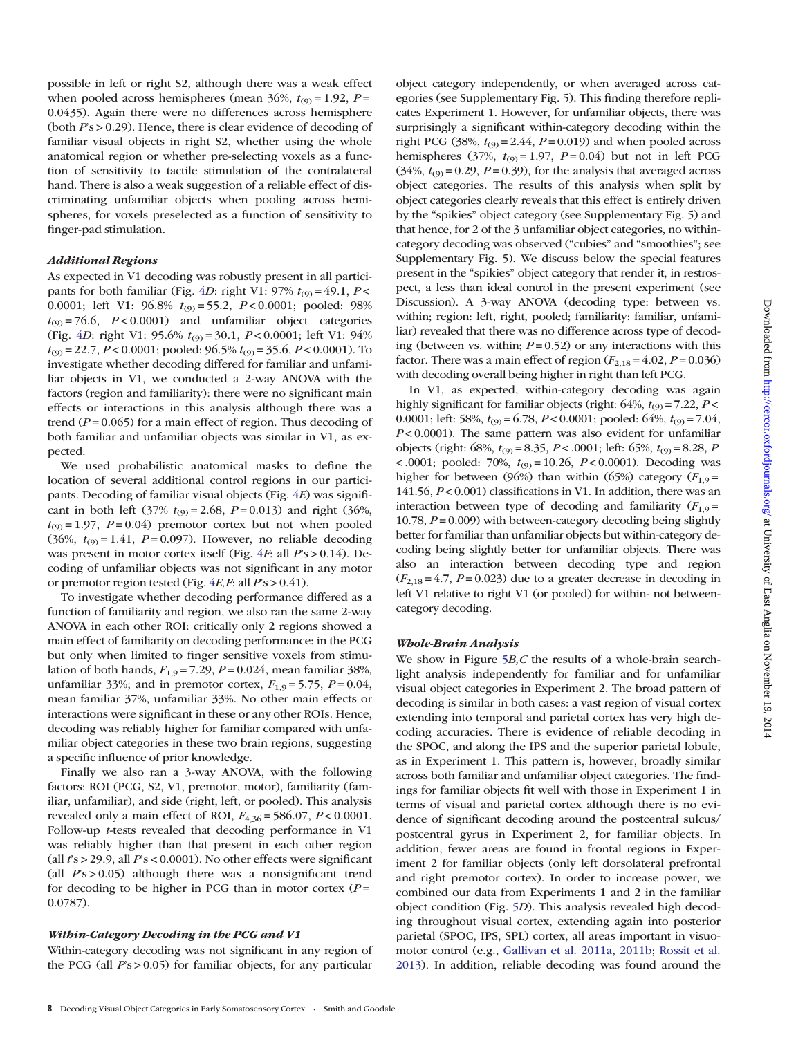possible in left or right S2, although there was a weak effect when pooled across hemispheres (mean 36%,  $t_{(9)} = 1.92$ ,  $P =$ 0.0435). Again there were no differences across hemisphere (both  $Ps > 0.29$ ). Hence, there is clear evidence of decoding of familiar visual objects in right S2, whether using the whole anatomical region or whether pre-selecting voxels as a function of sensitivity to tactile stimulation of the contralateral hand. There is also a weak suggestion of a reliable effect of discriminating unfamiliar objects when pooling across hemispheres, for voxels preselected as a function of sensitivity to finger-pad stimulation.

## Additional Regions

As expected in V1 decoding was robustly present in all partici-pants for both familiar (Fig. [4](#page-5-0)D: right V1:  $97\%$   $t_{(9)} = 49.1$ ,  $P <$ 0.0001; left V1:  $96.8\%$   $t_{(9)} = 55.2$ ,  $P < 0.0001$ ; pooled: 98%  $t_{(9)} = 76.6$ ,  $P < 0.0001$ ) and unfamiliar object categories (Fig. [4](#page-5-0)D: right V1: 95.6%  $t_{(9)} = 30.1$ ,  $P < 0.0001$ ; left V1: 94%  $t_{(9)} = 22.7$ ,  $P < 0.0001$ ; pooled:  $96.5\% t_{(9)} = 35.6$ ,  $P < 0.0001$ ). To investigate whether decoding differed for familiar and unfamiliar objects in V1, we conducted a 2-way ANOVA with the factors (region and familiarity): there were no significant main effects or interactions in this analysis although there was a trend ( $P = 0.065$ ) for a main effect of region. Thus decoding of both familiar and unfamiliar objects was similar in V1, as expected.

We used probabilistic anatomical masks to define the location of several additional control regions in our participants. Decoding of familiar visual objects (Fig. [4](#page-5-0)E) was significant in both left (37%  $t_{(9)} = 2.68$ ,  $P = 0.013$ ) and right (36%,  $t_{(9)} = 1.97$ ,  $P = 0.04$ ) premotor cortex but not when pooled (36%,  $t_{(9)} = 1.41$ ,  $P = 0.097$ ). However, no reliable decoding was present in motor cortex itself (Fig.  $4F$  $4F$ : all  $Ps > 0.14$ ). Decoding of unfamiliar objects was not significant in any motor or premotor region tested (Fig.  $4E, F$  $4E, F$ : all  $Ps > 0.41$ ).

To investigate whether decoding performance differed as a function of familiarity and region, we also ran the same 2-way ANOVA in each other ROI: critically only 2 regions showed a main effect of familiarity on decoding performance: in the PCG but only when limited to finger sensitive voxels from stimulation of both hands,  $F_{1,9} = 7.29$ ,  $P = 0.024$ , mean familiar 38%, unfamiliar 33%; and in premotor cortex,  $F_{1,9} = 5.75$ ,  $P = 0.04$ , mean familiar 37%, unfamiliar 33%. No other main effects or interactions were significant in these or any other ROIs. Hence, decoding was reliably higher for familiar compared with unfamiliar object categories in these two brain regions, suggesting a specific influence of prior knowledge.

Finally we also ran a 3-way ANOVA, with the following factors: ROI (PCG, S2, V1, premotor, motor), familiarity (familiar, unfamiliar), and side (right, left, or pooled). This analysis revealed only a main effect of ROI,  $F_{4,36} = 586.07$ ,  $P < 0.0001$ . Follow-up t-tests revealed that decoding performance in V1 was reliably higher than that present in each other region (all  $rs > 29.9$ , all  $Ps < 0.0001$ ). No other effects were significant (all  $Ps > 0.05$ ) although there was a nonsignificant trend for decoding to be higher in PCG than in motor cortex  $(P =$ 0.0787).

# Within-Category Decoding in the PCG and V1

Within-category decoding was not significant in any region of the PCG (all  $Ps > 0.05$ ) for familiar objects, for any particular

object category independently, or when averaged across categories (see [Supplementary Fig. 5](http://cercor.oxfordjournals.org/lookup/suppl/doi:10.1093/cercor/bht292/-/DC1)). This finding therefore replicates Experiment 1. However, for unfamiliar objects, there was surprisingly a significant within-category decoding within the right PCG (38%,  $t_{(9)} = 2.44$ ,  $P = 0.019$ ) and when pooled across hemispheres (37%,  $t_{(9)} = 1.97$ ,  $P = 0.04$ ) but not in left PCG  $(34\%, t_{(9)} = 0.29, P = 0.39)$ , for the analysis that averaged across object categories. The results of this analysis when split by object categories clearly reveals that this effect is entirely driven by the "spikies" object category (see [Supplementary Fig. 5\)](http://cercor.oxfordjournals.org/lookup/suppl/doi:10.1093/cercor/bht292/-/DC1) and that hence, for 2 of the 3 unfamiliar object categories, no withincategory decoding was observed ("cubies" and "smoothies"; see [Supplementary Fig. 5\)](http://cercor.oxfordjournals.org/lookup/suppl/doi:10.1093/cercor/bht292/-/DC1). We discuss below the special features present in the "spikies" object category that render it, in restrospect, a less than ideal control in the present experiment (see Discussion). A 3-way ANOVA (decoding type: between vs. within; region: left, right, pooled; familiarity: familiar, unfamiliar) revealed that there was no difference across type of decoding (between vs. within;  $P = 0.52$ ) or any interactions with this factor. There was a main effect of region  $(F_{2,18} = 4.02, P = 0.036)$ with decoding overall being higher in right than left PCG.

In V1, as expected, within-category decoding was again highly significant for familiar objects (right:  $64\%$ ,  $t_{(9)} = 7.22$ ,  $P <$ 0.0001; left: 58%,  $t_{(9)} = 6.78$ ,  $P < 0.0001$ ; pooled: 64%,  $t_{(9)} = 7.04$ ,  $P < 0.0001$ ). The same pattern was also evident for unfamiliar objects (right:  $68\%, t_{(9)} = 8.35, P < .0001$ ; left:  $65\%, t_{(9)} = 8.28, P$  $\lt$ .0001; pooled: 70%,  $t_{(9)} = 10.26$ ,  $P \lt 0.0001$ ). Decoding was higher for between (96%) than within (65%) category ( $F_{1,9}$  = 141.56,  $P < 0.001$ ) classifications in V1. In addition, there was an interaction between type of decoding and familiarity  $(F_{1,9} =$ 10.78,  $P = 0.009$ ) with between-category decoding being slightly better for familiar than unfamiliar objects but within-category decoding being slightly better for unfamiliar objects. There was also an interaction between decoding type and region  $(F_{2,18} = 4.7, P = 0.023)$  due to a greater decrease in decoding in left V1 relative to right V1 (or pooled) for within- not betweencategory decoding.

#### Whole-Brain Analysis

We show in Figure  $5B$  $5B$ , C the results of a whole-brain searchlight analysis independently for familiar and for unfamiliar visual object categories in Experiment 2. The broad pattern of decoding is similar in both cases: a vast region of visual cortex extending into temporal and parietal cortex has very high decoding accuracies. There is evidence of reliable decoding in the SPOC, and along the IPS and the superior parietal lobule, as in Experiment 1. This pattern is, however, broadly similar across both familiar and unfamiliar object categories. The findings for familiar objects fit well with those in Experiment 1 in terms of visual and parietal cortex although there is no evidence of significant decoding around the postcentral sulcus/ postcentral gyrus in Experiment 2, for familiar objects. In addition, fewer areas are found in frontal regions in Experiment 2 for familiar objects (only left dorsolateral prefrontal and right premotor cortex). In order to increase power, we combined our data from Experiments 1 and 2 in the familiar object condition (Fig. [5](#page-6-0)D). This analysis revealed high decoding throughout visual cortex, extending again into posterior parietal (SPOC, IPS, SPL) cortex, all areas important in visuomotor control (e.g., [Gallivan et al. 2011a](#page-10-0), [2011b](#page-10-0); [Rossit et al.](#page-11-0) [2013\)](#page-11-0). In addition, reliable decoding was found around the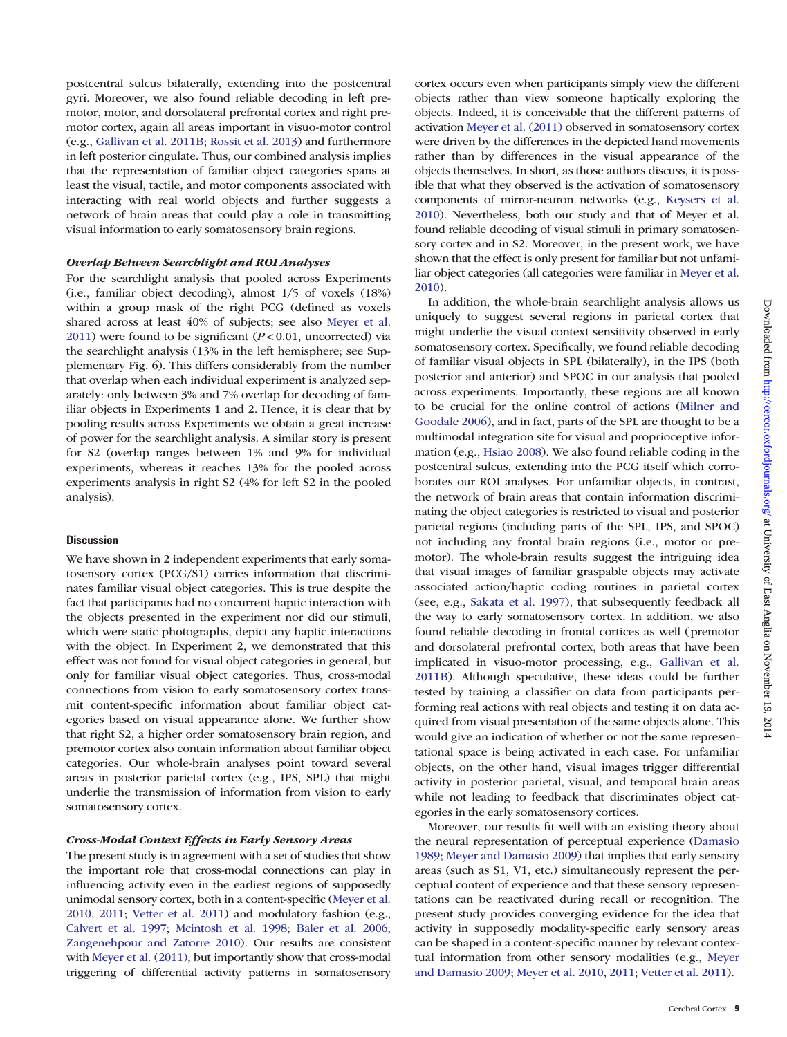postcentral sulcus bilaterally, extending into the postcentral gyri. Moreover, we also found reliable decoding in left premotor, motor, and dorsolateral prefrontal cortex and right premotor cortex, again all areas important in visuo-motor control (e.g., [Gallivan et al. 2011B;](#page-10-0) [Rossit et al. 2013\)](#page-11-0) and furthermore in left posterior cingulate. Thus, our combined analysis implies that the representation of familiar object categories spans at least the visual, tactile, and motor components associated with interacting with real world objects and further suggests a network of brain areas that could play a role in transmitting visual information to early somatosensory brain regions.

# Overlap Between Searchlight and ROI Analyses

For the searchlight analysis that pooled across Experiments (i.e., familiar object decoding), almost 1/5 of voxels (18%) within a group mask of the right PCG (defined as voxels shared across at least 40% of subjects; see also [Meyer et al.](#page-11-0) [2011](#page-11-0)) were found to be significant ( $P < 0.01$ , uncorrected) via the searchlight analysis (13% in the left hemisphere; see [Sup](http://cercor.oxfordjournals.org/lookup/suppl/doi:10.1093/cercor/bht292/-/DC1)[plementary Fig. 6](http://cercor.oxfordjournals.org/lookup/suppl/doi:10.1093/cercor/bht292/-/DC1)). This differs considerably from the number that overlap when each individual experiment is analyzed separately: only between 3% and 7% overlap for decoding of familiar objects in Experiments 1 and 2. Hence, it is clear that by pooling results across Experiments we obtain a great increase of power for the searchlight analysis. A similar story is present for S2 (overlap ranges between 1% and 9% for individual experiments, whereas it reaches 13% for the pooled across experiments analysis in right S2 (4% for left S2 in the pooled analysis).

## **Discussion**

We have shown in 2 independent experiments that early somatosensory cortex (PCG/S1) carries information that discriminates familiar visual object categories. This is true despite the fact that participants had no concurrent haptic interaction with the objects presented in the experiment nor did our stimuli, which were static photographs, depict any haptic interactions with the object. In Experiment 2, we demonstrated that this effect was not found for visual object categories in general, but only for familiar visual object categories. Thus, cross-modal connections from vision to early somatosensory cortex transmit content-specific information about familiar object categories based on visual appearance alone. We further show that right S2, a higher order somatosensory brain region, and premotor cortex also contain information about familiar object categories. Our whole-brain analyses point toward several areas in posterior parietal cortex (e.g., IPS, SPL) that might underlie the transmission of information from vision to early somatosensory cortex.

# Cross-Modal Context Effects in Early Sensory Areas

The present study is in agreement with a set of studies that show the important role that cross-modal connections can play in influencing activity even in the earliest regions of supposedly unimodal sensory cortex, both in a content-specific [\(Meyer et al.](#page-11-0) [2010,](#page-11-0) [2011;](#page-11-0) [Vetter et al. 2011](#page-11-0)) and modulatory fashion (e.g., [Calvert et al. 1997;](#page-10-0) [Mcintosh et al. 1998;](#page-11-0) [Baler et al. 2006;](#page-10-0) [Zangenehpour and Zatorre 2010](#page-11-0)). Our results are consistent with [Meyer et al. \(2011\),](#page-11-0) but importantly show that cross-modal triggering of differential activity patterns in somatosensory

cortex occurs even when participants simply view the different objects rather than view someone haptically exploring the objects. Indeed, it is conceivable that the different patterns of activation [Meyer et al. \(2011\)](#page-11-0) observed in somatosensory cortex were driven by the differences in the depicted hand movements rather than by differences in the visual appearance of the objects themselves. In short, as those authors discuss, it is possible that what they observed is the activation of somatosensory components of mirror-neuron networks (e.g., [Keysers et al.](#page-11-0) [2010\)](#page-11-0). Nevertheless, both our study and that of Meyer et al. found reliable decoding of visual stimuli in primary somatosensory cortex and in S2. Moreover, in the present work, we have shown that the effect is only present for familiar but not unfamiliar object categories (all categories were familiar in [Meyer et al.](#page-11-0) [2010\)](#page-11-0).

In addition, the whole-brain searchlight analysis allows us uniquely to suggest several regions in parietal cortex that might underlie the visual context sensitivity observed in early somatosensory cortex. Specifically, we found reliable decoding of familiar visual objects in SPL (bilaterally), in the IPS (both posterior and anterior) and SPOC in our analysis that pooled across experiments. Importantly, these regions are all known to be crucial for the online control of actions [\(Milner and](#page-11-0) [Goodale 2006\)](#page-11-0), and in fact, parts of the SPL are thought to be a multimodal integration site for visual and proprioceptive information (e.g., [Hsiao 2008\)](#page-11-0). We also found reliable coding in the postcentral sulcus, extending into the PCG itself which corroborates our ROI analyses. For unfamiliar objects, in contrast, the network of brain areas that contain information discriminating the object categories is restricted to visual and posterior parietal regions (including parts of the SPL, IPS, and SPOC) not including any frontal brain regions (i.e., motor or premotor). The whole-brain results suggest the intriguing idea that visual images of familiar graspable objects may activate associated action/haptic coding routines in parietal cortex (see, e.g., [Sakata et al. 1997\)](#page-11-0), that subsequently feedback all the way to early somatosensory cortex. In addition, we also found reliable decoding in frontal cortices as well (premotor and dorsolateral prefrontal cortex, both areas that have been implicated in visuo-motor processing, e.g., [Gallivan et al.](#page-10-0) [2011B](#page-10-0)). Although speculative, these ideas could be further tested by training a classifier on data from participants performing real actions with real objects and testing it on data acquired from visual presentation of the same objects alone. This would give an indication of whether or not the same representational space is being activated in each case. For unfamiliar objects, on the other hand, visual images trigger differential activity in posterior parietal, visual, and temporal brain areas while not leading to feedback that discriminates object categories in the early somatosensory cortices.

Moreover, our results fit well with an existing theory about the neural representation of perceptual experience ([Damasio](#page-10-0) [1989](#page-10-0); [Meyer and Damasio 2009\)](#page-11-0) that implies that early sensory areas (such as S1, V1, etc.) simultaneously represent the perceptual content of experience and that these sensory representations can be reactivated during recall or recognition. The present study provides converging evidence for the idea that activity in supposedly modality-specific early sensory areas can be shaped in a content-specific manner by relevant contextual information from other sensory modalities (e.g., [Meyer](#page-11-0) [and Damasio 2009](#page-11-0); [Meyer et al. 2010,](#page-11-0) [2011](#page-11-0); [Vetter et al. 2011\)](#page-11-0).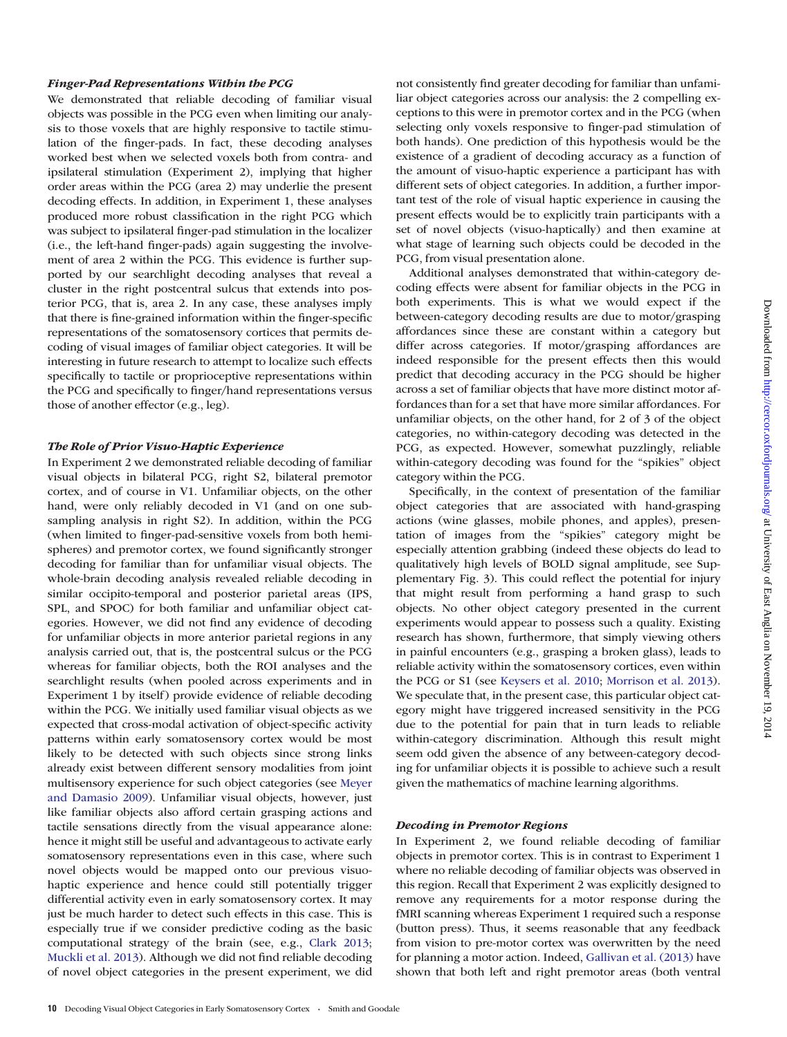## Finger-Pad Representations Within the PCG

We demonstrated that reliable decoding of familiar visual objects was possible in the PCG even when limiting our analysis to those voxels that are highly responsive to tactile stimulation of the finger-pads. In fact, these decoding analyses worked best when we selected voxels both from contra- and ipsilateral stimulation (Experiment 2), implying that higher order areas within the PCG (area 2) may underlie the present decoding effects. In addition, in Experiment 1, these analyses produced more robust classification in the right PCG which was subject to ipsilateral finger-pad stimulation in the localizer (i.e., the left-hand finger-pads) again suggesting the involvement of area 2 within the PCG. This evidence is further supported by our searchlight decoding analyses that reveal a cluster in the right postcentral sulcus that extends into posterior PCG, that is, area 2. In any case, these analyses imply that there is fine-grained information within the finger-specific representations of the somatosensory cortices that permits decoding of visual images of familiar object categories. It will be interesting in future research to attempt to localize such effects specifically to tactile or proprioceptive representations within the PCG and specifically to finger/hand representations versus those of another effector (e.g., leg).

# The Role of Prior Visuo-Haptic Experience

In Experiment 2 we demonstrated reliable decoding of familiar visual objects in bilateral PCG, right S2, bilateral premotor cortex, and of course in V1. Unfamiliar objects, on the other hand, were only reliably decoded in V1 (and on one subsampling analysis in right S2). In addition, within the PCG (when limited to finger-pad-sensitive voxels from both hemispheres) and premotor cortex, we found significantly stronger decoding for familiar than for unfamiliar visual objects. The whole-brain decoding analysis revealed reliable decoding in similar occipito-temporal and posterior parietal areas (IPS, SPL, and SPOC) for both familiar and unfamiliar object categories. However, we did not find any evidence of decoding for unfamiliar objects in more anterior parietal regions in any analysis carried out, that is, the postcentral sulcus or the PCG whereas for familiar objects, both the ROI analyses and the searchlight results (when pooled across experiments and in Experiment 1 by itself) provide evidence of reliable decoding within the PCG. We initially used familiar visual objects as we expected that cross-modal activation of object-specific activity patterns within early somatosensory cortex would be most likely to be detected with such objects since strong links already exist between different sensory modalities from joint multisensory experience for such object categories (see [Meyer](#page-11-0) [and Damasio 2009\)](#page-11-0). Unfamiliar visual objects, however, just like familiar objects also afford certain grasping actions and tactile sensations directly from the visual appearance alone: hence it might still be useful and advantageous to activate early somatosensory representations even in this case, where such novel objects would be mapped onto our previous visuohaptic experience and hence could still potentially trigger differential activity even in early somatosensory cortex. It may just be much harder to detect such effects in this case. This is especially true if we consider predictive coding as the basic computational strategy of the brain (see, e.g., [Clark 2013](#page-10-0); [Muckli et al. 2013\)](#page-11-0). Although we did not find reliable decoding of novel object categories in the present experiment, we did not consistently find greater decoding for familiar than unfamiliar object categories across our analysis: the 2 compelling exceptions to this were in premotor cortex and in the PCG (when selecting only voxels responsive to finger-pad stimulation of both hands). One prediction of this hypothesis would be the existence of a gradient of decoding accuracy as a function of the amount of visuo-haptic experience a participant has with different sets of object categories. In addition, a further important test of the role of visual haptic experience in causing the present effects would be to explicitly train participants with a set of novel objects (visuo-haptically) and then examine at what stage of learning such objects could be decoded in the PCG, from visual presentation alone.

Additional analyses demonstrated that within-category decoding effects were absent for familiar objects in the PCG in both experiments. This is what we would expect if the between-category decoding results are due to motor/grasping affordances since these are constant within a category but differ across categories. If motor/grasping affordances are indeed responsible for the present effects then this would predict that decoding accuracy in the PCG should be higher across a set of familiar objects that have more distinct motor affordances than for a set that have more similar affordances. For unfamiliar objects, on the other hand, for 2 of 3 of the object categories, no within-category decoding was detected in the PCG, as expected. However, somewhat puzzlingly, reliable within-category decoding was found for the "spikies" object category within the PCG.

Specifically, in the context of presentation of the familiar object categories that are associated with hand-grasping actions (wine glasses, mobile phones, and apples), presentation of images from the "spikies" category might be especially attention grabbing (indeed these objects do lead to qualitatively high levels of BOLD signal amplitude, see [Sup](http://cercor.oxfordjournals.org/lookup/suppl/doi:10.1093/cercor/bht292/-/DC1)[plementary Fig. 3\)](http://cercor.oxfordjournals.org/lookup/suppl/doi:10.1093/cercor/bht292/-/DC1). This could reflect the potential for injury that might result from performing a hand grasp to such objects. No other object category presented in the current experiments would appear to possess such a quality. Existing research has shown, furthermore, that simply viewing others in painful encounters (e.g., grasping a broken glass), leads to reliable activity within the somatosensory cortices, even within the PCG or S1 (see [Keysers et al. 2010](#page-11-0); [Morrison et al. 2013](#page-11-0)). We speculate that, in the present case, this particular object category might have triggered increased sensitivity in the PCG due to the potential for pain that in turn leads to reliable within-category discrimination. Although this result might seem odd given the absence of any between-category decoding for unfamiliar objects it is possible to achieve such a result given the mathematics of machine learning algorithms.

### Decoding in Premotor Regions

In Experiment 2, we found reliable decoding of familiar objects in premotor cortex. This is in contrast to Experiment 1 where no reliable decoding of familiar objects was observed in this region. Recall that Experiment 2 was explicitly designed to remove any requirements for a motor response during the fMRI scanning whereas Experiment 1 required such a response (button press). Thus, it seems reasonable that any feedback from vision to pre-motor cortex was overwritten by the need for planning a motor action. Indeed, [Gallivan et al. \(2013\)](#page-10-0) have shown that both left and right premotor areas (both ventral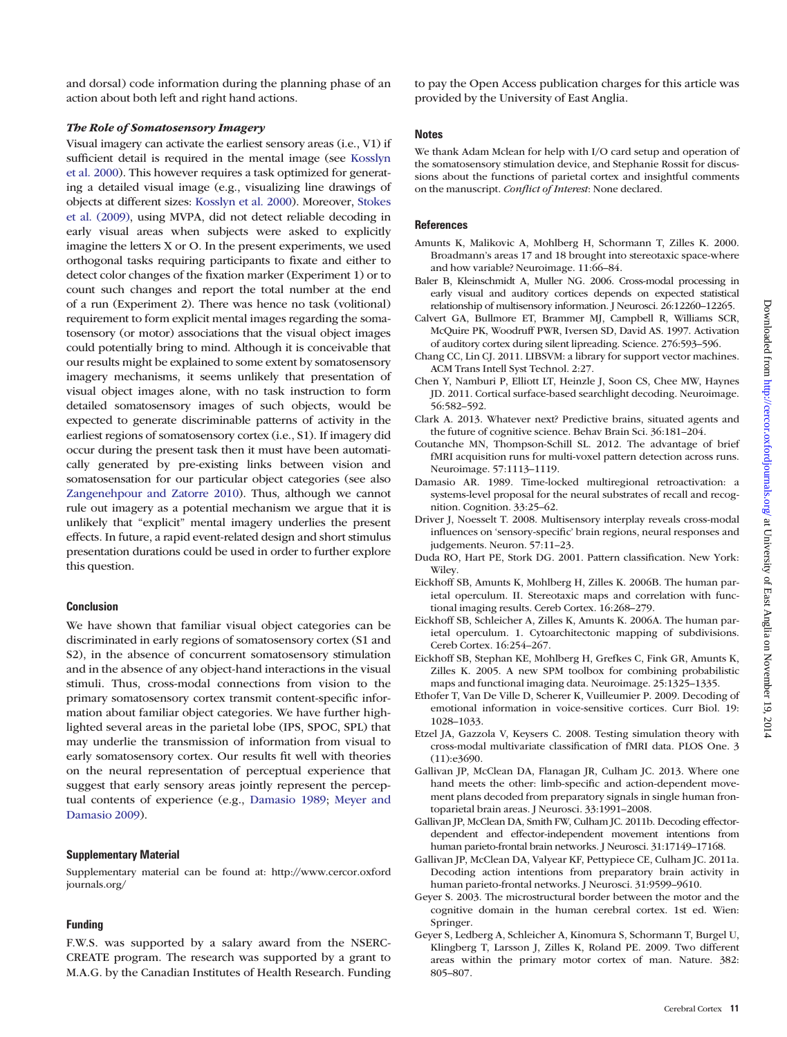<span id="page-10-0"></span>and dorsal) code information during the planning phase of an action about both left and right hand actions.

## The Role of Somatosensory Imagery

Visual imagery can activate the earliest sensory areas (i.e., V1) if sufficient detail is required in the mental image (see [Kosslyn](#page-11-0) [et al. 2000](#page-11-0)). This however requires a task optimized for generating a detailed visual image (e.g., visualizing line drawings of objects at different sizes: [Kosslyn et al. 2000](#page-11-0)). Moreover, [Stokes](#page-11-0) [et al. \(2009\),](#page-11-0) using MVPA, did not detect reliable decoding in early visual areas when subjects were asked to explicitly imagine the letters X or O. In the present experiments, we used orthogonal tasks requiring participants to fixate and either to detect color changes of the fixation marker (Experiment 1) or to count such changes and report the total number at the end of a run (Experiment 2). There was hence no task (volitional) requirement to form explicit mental images regarding the somatosensory (or motor) associations that the visual object images could potentially bring to mind. Although it is conceivable that our results might be explained to some extent by somatosensory imagery mechanisms, it seems unlikely that presentation of visual object images alone, with no task instruction to form detailed somatosensory images of such objects, would be expected to generate discriminable patterns of activity in the earliest regions of somatosensory cortex (i.e., S1). If imagery did occur during the present task then it must have been automatically generated by pre-existing links between vision and somatosensation for our particular object categories (see also [Zangenehpour and Zatorre 2010](#page-11-0)). Thus, although we cannot rule out imagery as a potential mechanism we argue that it is unlikely that "explicit" mental imagery underlies the present effects. In future, a rapid event-related design and short stimulus presentation durations could be used in order to further explore this question.

#### Conclusion

We have shown that familiar visual object categories can be discriminated in early regions of somatosensory cortex (S1 and S2), in the absence of concurrent somatosensory stimulation and in the absence of any object-hand interactions in the visual stimuli. Thus, cross-modal connections from vision to the primary somatosensory cortex transmit content-specific information about familiar object categories. We have further highlighted several areas in the parietal lobe (IPS, SPOC, SPL) that may underlie the transmission of information from visual to early somatosensory cortex. Our results fit well with theories on the neural representation of perceptual experience that suggest that early sensory areas jointly represent the perceptual contents of experience (e.g., Damasio 1989; [Meyer and](#page-11-0) [Damasio 2009\)](#page-11-0).

## Supplementary Material

[Supplementary material can be found at: http://www.cercor.oxford](http://cercor.oxfordjournals.org/lookup/suppl/doi:10.1093/cercor/bht292/-/DC1) [journals.org/](http://cercor.oxfordjournals.org/lookup/suppl/doi:10.1093/cercor/bht292/-/DC1)

#### Funding

F.W.S. was supported by a salary award from the NSERC-CREATE program. The research was supported by a grant to M.A.G. by the Canadian Institutes of Health Research. Funding to pay the Open Access publication charges for this article was provided by the University of East Anglia.

## **Notes**

We thank Adam Mclean for help with I/O card setup and operation of the somatosensory stimulation device, and Stephanie Rossit for discussions about the functions of parietal cortex and insightful comments on the manuscript. Conflict of Interest: None declared.

## **References**

- Amunts K, Malikovic A, Mohlberg H, Schormann T, Zilles K. 2000. Broadmann's areas 17 and 18 brought into stereotaxic space-where and how variable? Neuroimage. 11:66–84.
- Baler B, Kleinschmidt A, Muller NG. 2006. Cross-modal processing in early visual and auditory cortices depends on expected statistical relationship of multisensory information. J Neurosci. 26:12260–12265.
- Calvert GA, Bullmore ET, Brammer MJ, Campbell R, Williams SCR, McQuire PK, Woodruff PWR, Iversen SD, David AS. 1997. Activation of auditory cortex during silent lipreading. Science. 276:593–596.
- Chang CC, Lin CJ. 2011. LIBSVM: a library for support vector machines. ACM Trans Intell Syst Technol. 2:27.
- Chen Y, Namburi P, Elliott LT, Heinzle J, Soon CS, Chee MW, Haynes JD. 2011. Cortical surface-based searchlight decoding. Neuroimage. 56:582–592.
- Clark A. 2013. Whatever next? Predictive brains, situated agents and the future of cognitive science. Behav Brain Sci. 36:181–204.
- Coutanche MN, Thompson-Schill SL. 2012. The advantage of brief fMRI acquisition runs for multi-voxel pattern detection across runs. Neuroimage. 57:1113–1119.
- Damasio AR. 1989. Time-locked multiregional retroactivation: a systems-level proposal for the neural substrates of recall and recognition. Cognition. 33:25–62.
- Driver J, Noesselt T. 2008. Multisensory interplay reveals cross-modal influences on 'sensory-specific' brain regions, neural responses and judgements. Neuron. 57:11–23.
- Duda RO, Hart PE, Stork DG. 2001. Pattern classification. New York: Wiley.
- Eickhoff SB, Amunts K, Mohlberg H, Zilles K. 2006B. The human parietal operculum. II. Stereotaxic maps and correlation with functional imaging results. Cereb Cortex. 16:268–279.
- Eickhoff SB, Schleicher A, Zilles K, Amunts K. 2006A. The human parietal operculum. 1. Cytoarchitectonic mapping of subdivisions. Cereb Cortex. 16:254–267.
- Eickhoff SB, Stephan KE, Mohlberg H, Grefkes C, Fink GR, Amunts K, Zilles K. 2005. A new SPM toolbox for combining probabilistic maps and functional imaging data. Neuroimage. 25:1325–1335.
- Ethofer T, Van De Ville D, Scherer K, Vuilleumier P. 2009. Decoding of emotional information in voice-sensitive cortices. Curr Biol. 19: 1028–1033.
- Etzel JA, Gazzola V, Keysers C. 2008. Testing simulation theory with cross-modal multivariate classification of fMRI data. PLOS One. 3 (11):e3690.
- Gallivan JP, McClean DA, Flanagan JR, Culham JC. 2013. Where one hand meets the other: limb-specific and action-dependent movement plans decoded from preparatory signals in single human frontoparietal brain areas. J Neurosci. 33:1991–2008.
- Gallivan JP, McClean DA, Smith FW, Culham JC. 2011b. Decoding effectordependent and effector-independent movement intentions from human parieto-frontal brain networks. J Neurosci. 31:17149–17168.
- Gallivan JP, McClean DA, Valyear KF, Pettypiece CE, Culham JC. 2011a. Decoding action intentions from preparatory brain activity in human parieto-frontal networks. J Neurosci. 31:9599–9610.
- Geyer S. 2003. The microstructural border between the motor and the cognitive domain in the human cerebral cortex. 1st ed. Wien: Springer.
- Geyer S, Ledberg A, Schleicher A, Kinomura S, Schormann T, Burgel U, Klingberg T, Larsson J, Zilles K, Roland PE. 2009. Two different areas within the primary motor cortex of man. Nature. 382: 805–807.